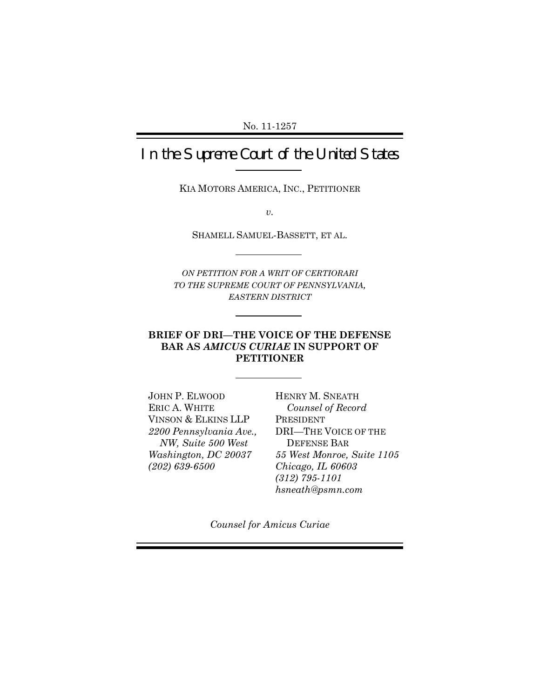# In the Supreme Court of the United States

KIA MOTORS AMERICA, INC., PETITIONER

*v.*

SHAMELL SAMUEL-BASSETT, ET AL.

*ON PETITION FOR A WRIT OF CERTIORARI TO THE SUPREME COURT OF PENNSYLVANIA, EASTERN DISTRICT*

## **BRIEF OF DRI—THE VOICE OF THE DEFENSE BAR AS** *AMICUS CURIAE* **IN SUPPORT OF PETITIONER**

JOHN P. ELWOOD ERIC A. WHITE VINSON & ELKINS LLP *2200 Pennsylvania Ave., NW, Suite 500 West Washington, DC 20037 (202) 639-6500*

HENRY M. SNEATH *Counsel of Record* PRESIDENT DRI—THE VOICE OF THE DEFENSE BAR *55 West Monroe, Suite 1105 Chicago, IL 60603 (312) 795-1101 hsneath@psmn.com*

*Counsel for Amicus Curiae*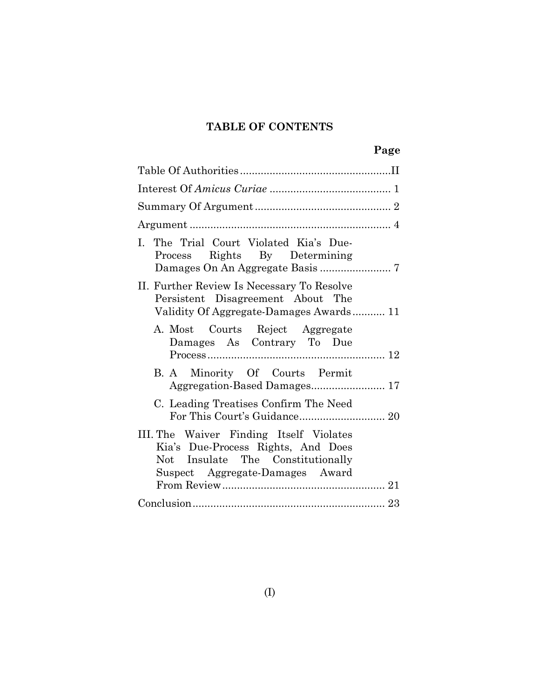## **TABLE OF CONTENTS**

| I. The Trial Court Violated Kia's Due-<br>Process Rights By Determining                                                                               |
|-------------------------------------------------------------------------------------------------------------------------------------------------------|
| II. Further Review Is Necessary To Resolve<br>Persistent Disagreement About The<br>Validity Of Aggregate-Damages Awards 11                            |
| A. Most Courts Reject Aggregate<br>Damages As Contrary To Due                                                                                         |
| B. A Minority Of Courts Permit                                                                                                                        |
| C. Leading Treatises Confirm The Need                                                                                                                 |
| III. The Waiver Finding Itself Violates<br>Kia's Due-Process Rights, And Does<br>Not Insulate The Constitutionally<br>Suspect Aggregate-Damages Award |
|                                                                                                                                                       |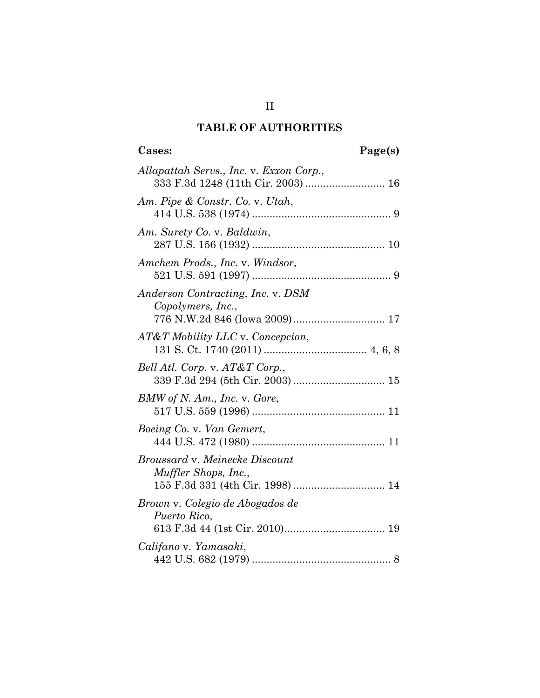# **TABLE OF AUTHORITIES**

# **Cases: Page(s)**

| Allapattah Servs., Inc. v. Exxon Corp.,<br>333 F.3d 1248 (11th Cir. 2003)  16              |
|--------------------------------------------------------------------------------------------|
| Am. Pipe & Constr. Co. v. Utah,                                                            |
| Am. Surety Co. v. Baldwin,                                                                 |
| Amchem Prods., Inc. v. Windsor,                                                            |
| Anderson Contracting, Inc. v. DSM<br>Copolymers, Inc.,<br>776 N.W.2d 846 (Iowa 2009) 17    |
| AT&T Mobility LLC v. Concepcion,                                                           |
| Bell Atl. Corp. v. AT&T Corp.,                                                             |
| BMW of N. Am., Inc. v. Gore,                                                               |
| Boeing Co. v. Van Gemert,                                                                  |
| Broussard v. Meinecke Discount<br>Muffler Shops, Inc.,<br>155 F.3d 331 (4th Cir. 1998)  14 |
| Brown v. Colegio de Abogados de<br>Puerto Rico,                                            |
| Califano v. Yamasaki,                                                                      |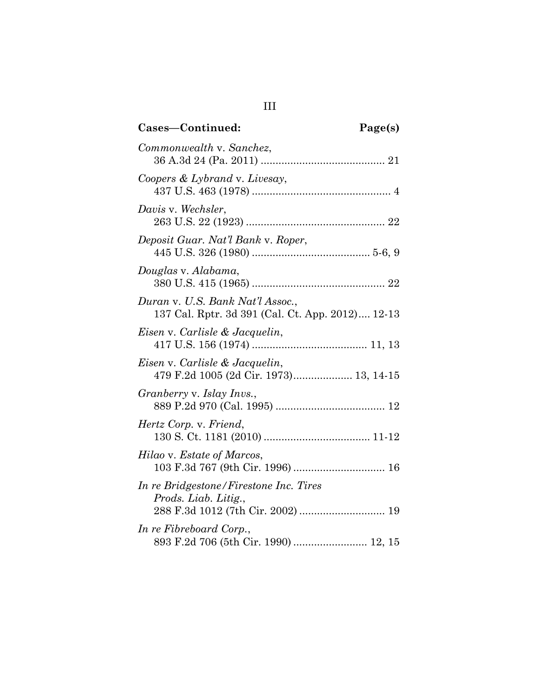| Cases-Continued:                                                                                    | Page(s) |
|-----------------------------------------------------------------------------------------------------|---------|
| Commonwealth v. Sanchez,                                                                            |         |
| Coopers & Lybrand v. Livesay,                                                                       |         |
| Davis v. Wechsler,                                                                                  |         |
| Deposit Guar. Nat'l Bank v. Roper,                                                                  |         |
| Douglas v. Alabama,                                                                                 |         |
| Duran v. U.S. Bank Nat'l Assoc.,<br>137 Cal. Rptr. 3d 391 (Cal. Ct. App. 2012) 12-13                |         |
| Eisen v. Carlisle & Jacquelin,                                                                      |         |
| Eisen v. Carlisle & Jacquelin,<br>479 F.2d 1005 (2d Cir. 1973) 13, 14-15                            |         |
| Granberry v. Islay Invs.,                                                                           |         |
| Hertz Corp. v. Friend,                                                                              |         |
| Hilao v. Estate of Marcos,                                                                          |         |
| In re Bridgestone/Firestone Inc. Tires<br>Prods. Liab. Litig.,<br>288 F.3d 1012 (7th Cir. 2002)  19 |         |
| In re Fibreboard Corp.,<br>893 F.2d 706 (5th Cir. 1990)  12, 15                                     |         |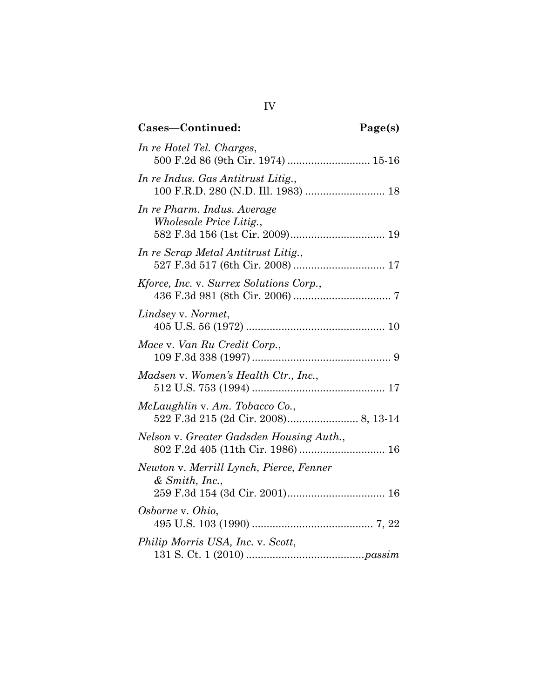| Cases-Continued:                                                          | Page(s) |
|---------------------------------------------------------------------------|---------|
| In re Hotel Tel. Charges,<br>500 F.2d 86 (9th Cir. 1974)  15-16           |         |
| In re Indus. Gas Antitrust Litig.,<br>100 F.R.D. 280 (N.D. Ill. 1983)  18 |         |
| In re Pharm. Indus. Average<br><i>Wholesale Price Litig.,</i>             |         |
| In re Scrap Metal Antitrust Litig.,                                       |         |
| Kforce, Inc. v. Surrex Solutions Corp.,                                   |         |
| Lindsey v. Normet,                                                        |         |
| Mace v. Van Ru Credit Corp.,                                              |         |
| Madsen v. Women's Health Ctr., Inc.,                                      |         |
| McLaughlin v. Am. Tobacco Co.,                                            |         |
| Nelson v. Greater Gadsden Housing Auth.,                                  |         |
| Newton v. Merrill Lynch, Pierce, Fenner<br>& Smith, Inc.,                 |         |
| Osborne v. Ohio,                                                          |         |
| Philip Morris USA, Inc. v. Scott,                                         |         |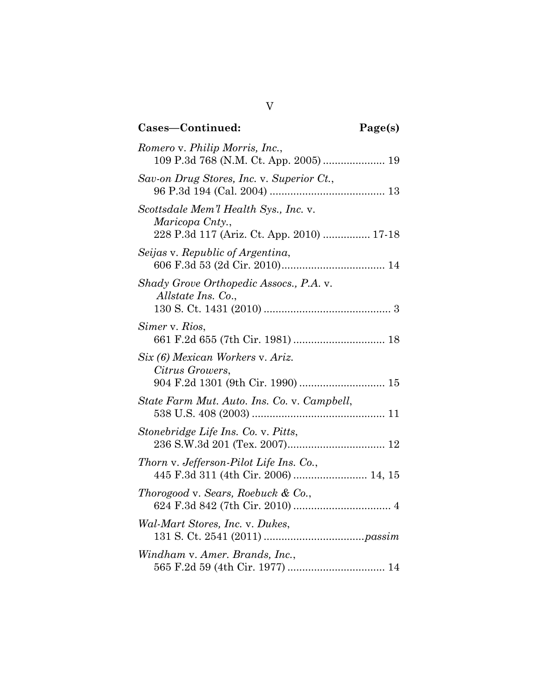# **Cases—Continued: Page(s)** *Romero* v. *Philip Morris, Inc.*, 109 P.3d 768 (N.M. Ct. App. 2005) ..................... 19 *Sav-on Drug Stores, Inc.* v. *Superior Ct.*, 96 P.3d 194 (Cal. 2004) ....................................... 13 *Scottsdale Mem'l Health Sys., Inc.* v. *Maricopa Cnty.*, 228 P.3d 117 (Ariz. Ct. App. 2010) ................ 17-18 *Seijas* v. *Republic of Argentina*, 606 F.3d 53 (2d Cir. 2010)................................... 14 *Shady Grove Orthopedic Assocs., P.A*. v. *Allstate Ins. Co*., 130 S. Ct. 1431 (2010) ........................................... 3 *Simer* v. *Rios*, 661 F.2d 655 (7th Cir. 1981) ............................... 18 *Six (6) Mexican Workers* v. *Ariz. Citrus Growers*, 904 F.2d 1301 (9th Cir. 1990) ............................. 15 *State Farm Mut. Auto. Ins. Co.* v. *Campbell*, 538 U.S. 408 (2003) ............................................. 11 *Stonebridge Life Ins. Co.* v. *Pitts*, 236 S.W.3d 201 (Tex. 2007)................................. 12 *Thorn* v. *Jefferson-Pilot Life Ins. Co.*, 445 F.3d 311 (4th Cir. 2006) ......................... 14, 15 *Thorogood* v. *Sears, Roebuck & Co.*, 624 F.3d 842 (7th Cir. 2010) ................................. 4 *Wal-Mart Stores, Inc.* v. *Dukes*, 131 S. Ct. 2541 (2011) ..................................*passim Windham* v. *Amer. Brands, Inc.*, 565 F.2d 59 (4th Cir. 1977) ................................. 14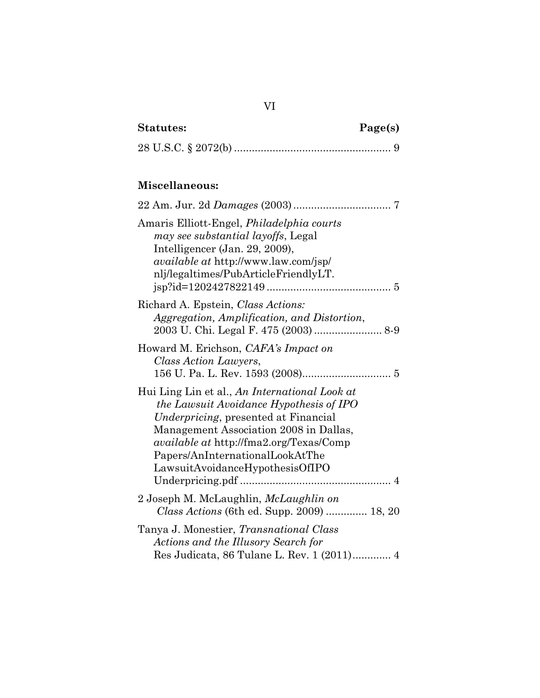| <b>Statutes:</b> | Page(s) |
|------------------|---------|
|                  |         |

|--|--|--|

## **Miscellaneous:**

| Amaris Elliott-Engel, <i>Philadelphia courts</i><br>may see substantial layoffs, Legal<br>Intelligencer (Jan. 29, 2009),<br><i>available at http://www.law.com/jsp/</i><br>nlj/legaltimes/PubArticleFriendlyLT.                                                                                    |
|----------------------------------------------------------------------------------------------------------------------------------------------------------------------------------------------------------------------------------------------------------------------------------------------------|
| Richard A. Epstein, Class Actions:<br>Aggregation, Amplification, and Distortion,                                                                                                                                                                                                                  |
| Howard M. Erichson, CAFA's Impact on<br>Class Action Lawyers,                                                                                                                                                                                                                                      |
| Hui Ling Lin et al., An International Look at<br>the Lawsuit Avoidance Hypothesis of IPO<br>Underpricing, presented at Financial<br>Management Association 2008 in Dallas,<br><i>available at http://fma2.org/Texas/Comp</i><br>Papers/AnInternationalLookAtThe<br>LawsuitAvoidanceHypothesisOfIPO |
| 2 Joseph M. McLaughlin, <i>McLaughlin on</i><br><i>Class Actions</i> (6th ed. Supp. 2009)  18, 20                                                                                                                                                                                                  |
| Tanya J. Monestier, Transnational Class<br>Actions and the Illusory Search for<br>Res Judicata, 86 Tulane L. Rev. 1 (2011) 4                                                                                                                                                                       |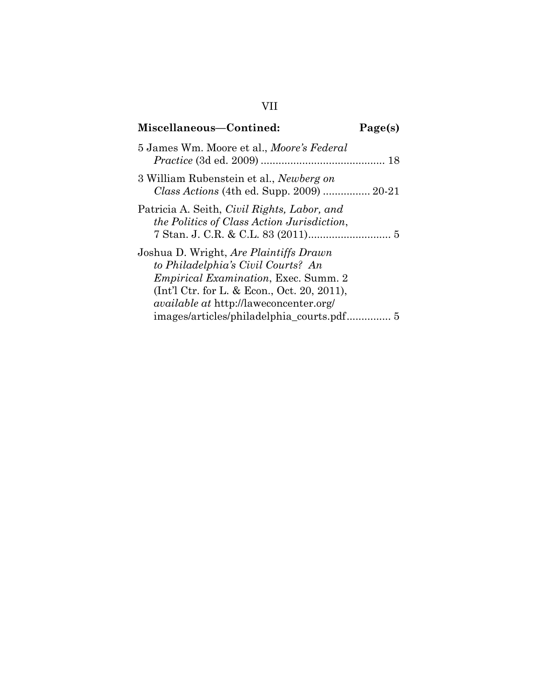# **Miscellaneous—Contined: Page(s)** 5 James Wm. Moore et al., *Moore's Federal Practice* (3d ed. 2009) .......................................... 18 3 William Rubenstein et al., *Newberg on Class Actions* (4th ed. Supp. 2009) ................ 20-21 Patricia A. Seith, *Civil Rights, Labor, and the Politics of Class Action Jurisdiction*, 7 Stan. J. C.R. & C.L. 83 (2011)............................ 5 Joshua D. Wright, *Are Plaintiffs Drawn to Philadelphia's Civil Courts? An Empirical Examination*, Exec. Summ. 2 (Int'l Ctr. for L. & Econ., Oct. 20, 2011), *available at* http://laweconcenter.org/ images/articles/philadelphia\_courts.pdf............... 5

#### VII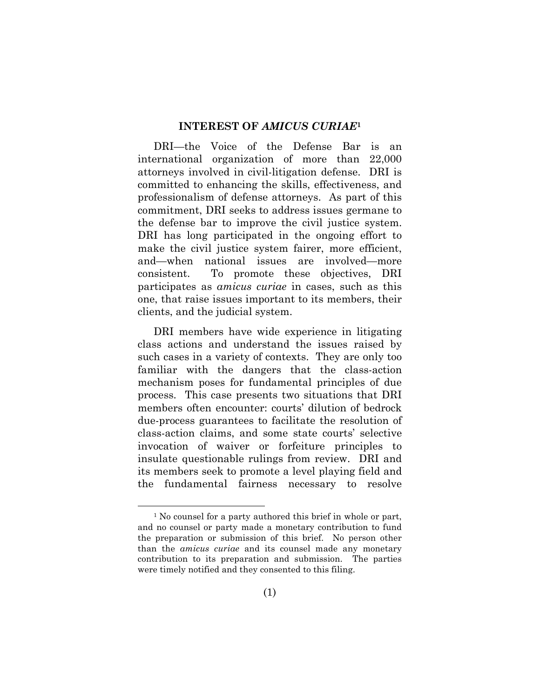#### **INTEREST OF** *AMICUS CURIAE***<sup>1</sup>**

DRI—the Voice of the Defense Bar is an international organization of more than 22,000 attorneys involved in civil-litigation defense. DRI is committed to enhancing the skills, effectiveness, and professionalism of defense attorneys. As part of this commitment, DRI seeks to address issues germane to the defense bar to improve the civil justice system. DRI has long participated in the ongoing effort to make the civil justice system fairer, more efficient, and—when national issues are involved—more consistent. To promote these objectives, DRI participates as *amicus curiae* in cases, such as this one, that raise issues important to its members, their clients, and the judicial system.

DRI members have wide experience in litigating class actions and understand the issues raised by such cases in a variety of contexts. They are only too familiar with the dangers that the class-action mechanism poses for fundamental principles of due process. This case presents two situations that DRI members often encounter: courts' dilution of bedrock due-process guarantees to facilitate the resolution of class-action claims, and some state courts' selective invocation of waiver or forfeiture principles to insulate questionable rulings from review. DRI and its members seek to promote a level playing field and the fundamental fairness necessary to resolve

<sup>&</sup>lt;sup>1</sup> No counsel for a party authored this brief in whole or part, and no counsel or party made a monetary contribution to fund the preparation or submission of this brief. No person other than the *amicus curiae* and its counsel made any monetary contribution to its preparation and submission. The parties were timely notified and they consented to this filing.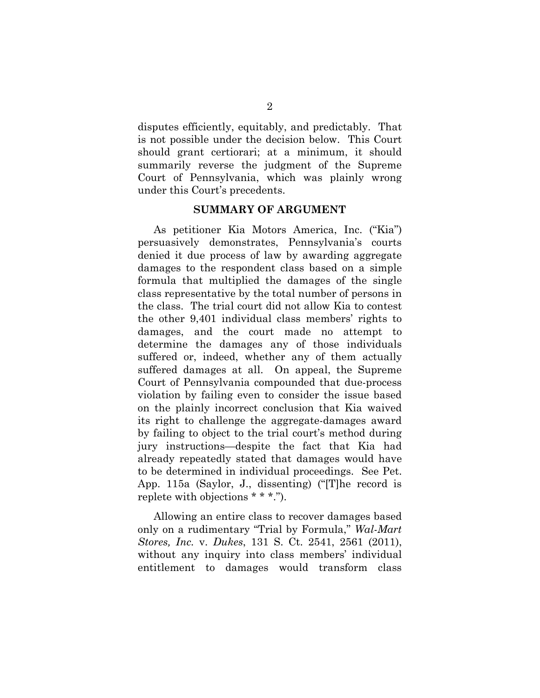disputes efficiently, equitably, and predictably. That is not possible under the decision below. This Court should grant certiorari; at a minimum, it should summarily reverse the judgment of the Supreme Court of Pennsylvania, which was plainly wrong under this Court's precedents.

#### **SUMMARY OF ARGUMENT**

As petitioner Kia Motors America, Inc. ("Kia") persuasively demonstrates, Pennsylvania's courts denied it due process of law by awarding aggregate damages to the respondent class based on a simple formula that multiplied the damages of the single class representative by the total number of persons in the class. The trial court did not allow Kia to contest the other 9,401 individual class members' rights to damages, and the court made no attempt to determine the damages any of those individuals suffered or, indeed, whether any of them actually suffered damages at all. On appeal, the Supreme Court of Pennsylvania compounded that due-process violation by failing even to consider the issue based on the plainly incorrect conclusion that Kia waived its right to challenge the aggregate-damages award by failing to object to the trial court's method during jury instructions—despite the fact that Kia had already repeatedly stated that damages would have to be determined in individual proceedings. See Pet. App. 115a (Saylor, J., dissenting) ("[T]he record is replete with objections \* \* \*.").

Allowing an entire class to recover damages based only on a rudimentary "Trial by Formula," *Wal-Mart Stores, Inc.* v. *Dukes*, 131 S. Ct. 2541, 2561 (2011), without any inquiry into class members' individual entitlement to damages would transform class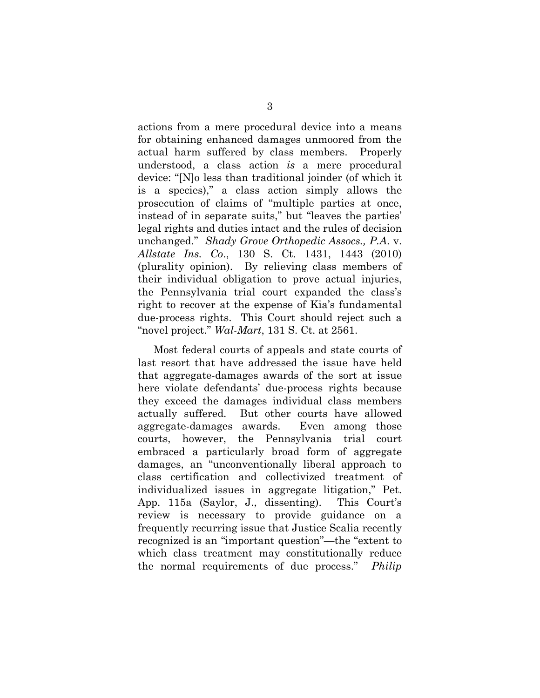actions from a mere procedural device into a means for obtaining enhanced damages unmoored from the actual harm suffered by class members. Properly understood, a class action *is* a mere procedural device: "[N]o less than traditional joinder (of which it is a species)," a class action simply allows the prosecution of claims of "multiple parties at once, instead of in separate suits," but "leaves the parties' legal rights and duties intact and the rules of decision unchanged." *Shady Grove Orthopedic Assocs., P.A*. v. *Allstate Ins. Co*., 130 S. Ct. 1431, 1443 (2010) (plurality opinion). By relieving class members of their individual obligation to prove actual injuries, the Pennsylvania trial court expanded the class's right to recover at the expense of Kia's fundamental due-process rights. This Court should reject such a "novel project." *Wal-Mart*, 131 S. Ct. at 2561.

Most federal courts of appeals and state courts of last resort that have addressed the issue have held that aggregate-damages awards of the sort at issue here violate defendants' due-process rights because they exceed the damages individual class members actually suffered. But other courts have allowed aggregate-damages awards. Even among those courts, however, the Pennsylvania trial court embraced a particularly broad form of aggregate damages, an "unconventionally liberal approach to class certification and collectivized treatment of individualized issues in aggregate litigation," Pet. App. 115a (Saylor, J., dissenting). This Court's review is necessary to provide guidance on a frequently recurring issue that Justice Scalia recently recognized is an "important question"—the "extent to which class treatment may constitutionally reduce the normal requirements of due process." *Philip*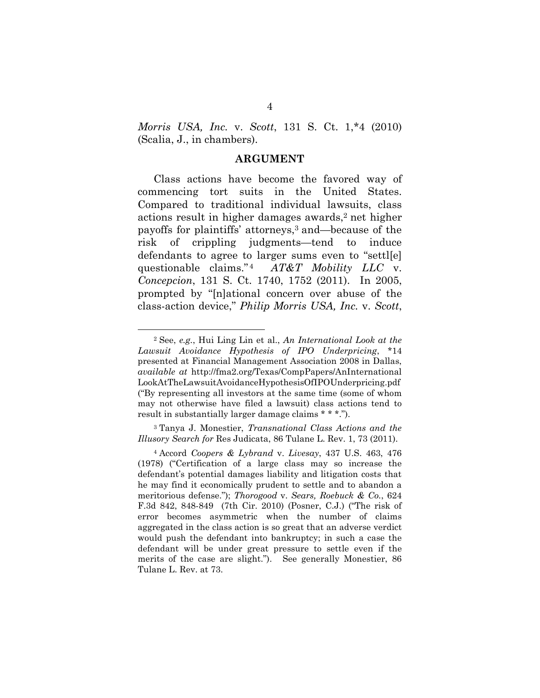*Morris USA, Inc.* v. *Scott*, 131 S. Ct. 1,\*4 (2010) (Scalia, J., in chambers).

#### **ARGUMENT**

Class actions have become the favored way of commencing tort suits in the United States. Compared to traditional individual lawsuits, class actions result in higher damages awards,<sup>2</sup> net higher payoffs for plaintiffs' attorneys,<sup>3</sup> and—because of the risk of crippling judgments—tend to induce defendants to agree to larger sums even to "settl[e] questionable claims."<sup>4</sup> *AT&T Mobility LLC* v. *Concepcion*, 131 S. Ct. 1740, 1752 (2011). In 2005, prompted by "[n]ational concern over abuse of the class-action device," *Philip Morris USA, Inc.* v. *Scott*,

<sup>3</sup> Tanya J. Monestier, *Transnational Class Actions and the Illusory Search for* Res Judicata, 86 Tulane L. Rev. 1, 73 (2011).

<sup>2</sup> See, *e.g.*, Hui Ling Lin et al., *An International Look at the Lawsuit Avoidance Hypothesis of IPO Underpricing*, \*14 presented at Financial Management Association 2008 in Dallas, *available at* http://fma2.org/Texas/CompPapers/AnInternational LookAtTheLawsuitAvoidanceHypothesisOfIPOUnderpricing.pdf ("By representing all investors at the same time (some of whom may not otherwise have filed a lawsuit) class actions tend to result in substantially larger damage claims \* \* \*.").

<sup>4</sup> Accord *Coopers & Lybrand* v. *Livesay*, 437 U.S. 463, 476 (1978) ("Certification of a large class may so increase the defendant's potential damages liability and litigation costs that he may find it economically prudent to settle and to abandon a meritorious defense."); *Thorogood* v. *Sears, Roebuck & Co.*, 624 F.3d 842, 848-849 (7th Cir. 2010) (Posner, C.J.) ("The risk of error becomes asymmetric when the number of claims aggregated in the class action is so great that an adverse verdict would push the defendant into bankruptcy; in such a case the defendant will be under great pressure to settle even if the merits of the case are slight."). See generally Monestier, 86 Tulane L. Rev. at 73.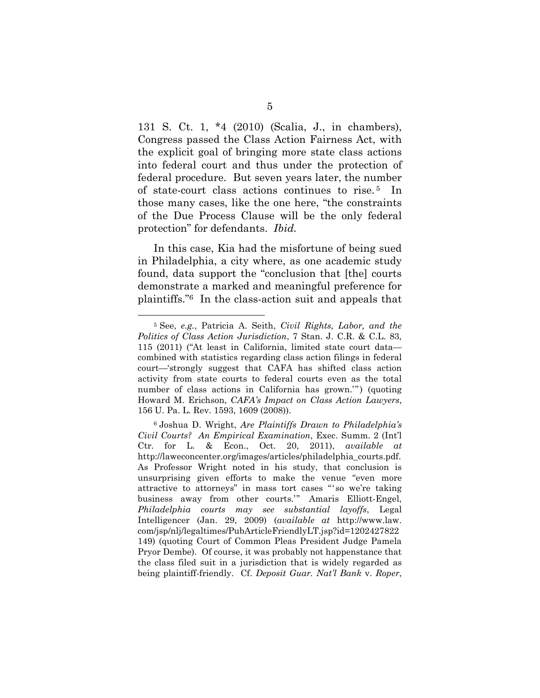131 S. Ct. 1, \*4 (2010) (Scalia, J., in chambers), Congress passed the Class Action Fairness Act, with the explicit goal of bringing more state class actions into federal court and thus under the protection of federal procedure. But seven years later, the number of state-court class actions continues to rise. <sup>5</sup> In those many cases, like the one here, "the constraints of the Due Process Clause will be the only federal protection" for defendants. *Ibid.*

In this case, Kia had the misfortune of being sued in Philadelphia, a city where, as one academic study found, data support the "conclusion that [the] courts demonstrate a marked and meaningful preference for plaintiffs."<sup>6</sup> In the class-action suit and appeals that

<sup>5</sup> See, *e.g.*, Patricia A. Seith, *Civil Rights, Labor, and the Politics of Class Action Jurisdiction*, 7 Stan. J. C.R. & C.L. 83, 115 (2011) ("At least in California, limited state court data combined with statistics regarding class action filings in federal court—'strongly suggest that CAFA has shifted class action activity from state courts to federal courts even as the total number of class actions in California has grown.'") (quoting Howard M. Erichson, *CAFA's Impact on Class Action Lawyers*, 156 U. Pa. L. Rev. 1593, 1609 (2008)).

<sup>6</sup> Joshua D. Wright, *Are Plaintiffs Drawn to Philadelphia's Civil Courts? An Empirical Examination*, Exec. Summ. 2 (Int'l Ctr. for L. & Econ., Oct. 20, 2011), *available at* http://laweconcenter.org/images/articles/philadelphia\_courts.pdf. As Professor Wright noted in his study, that conclusion is unsurprising given efforts to make the venue "even more attractive to attorneys" in mass tort cases "' so we're taking business away from other courts.'" Amaris Elliott-Engel, *Philadelphia courts may see substantial layoffs*, Legal Intelligencer (Jan. 29, 2009) (*available at* http://www.law. com/jsp/nlj/legaltimes/PubArticleFriendlyLT.jsp?id=1202427822 149) (quoting Court of Common Pleas President Judge Pamela Pryor Dembe). Of course, it was probably not happenstance that the class filed suit in a jurisdiction that is widely regarded as being plaintiff-friendly. Cf. *Deposit Guar. Nat'l Bank* v. *Roper*,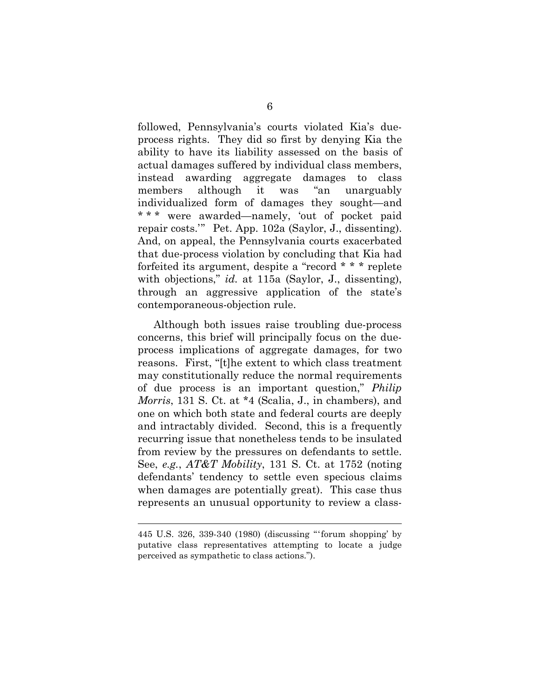followed, Pennsylvania's courts violated Kia's dueprocess rights. They did so first by denying Kia the ability to have its liability assessed on the basis of actual damages suffered by individual class members, instead awarding aggregate damages to class members although it was "an unarguably individualized form of damages they sought—and \* \* \* were awarded—namely, 'out of pocket paid repair costs.'" Pet. App. 102a (Saylor, J., dissenting). And, on appeal, the Pennsylvania courts exacerbated that due-process violation by concluding that Kia had forfeited its argument, despite a "record \* \* \* replete with objections," *id.* at 115a (Saylor, J., dissenting), through an aggressive application of the state's contemporaneous-objection rule.

Although both issues raise troubling due-process concerns, this brief will principally focus on the dueprocess implications of aggregate damages, for two reasons. First, "[t]he extent to which class treatment may constitutionally reduce the normal requirements of due process is an important question," *Philip Morris*, 131 S. Ct. at \*4 (Scalia, J., in chambers), and one on which both state and federal courts are deeply and intractably divided. Second, this is a frequently recurring issue that nonetheless tends to be insulated from review by the pressures on defendants to settle. See, *e.g.*, *AT&T Mobility*, 131 S. Ct. at 1752 (noting defendants' tendency to settle even specious claims when damages are potentially great). This case thus represents an unusual opportunity to review a class-

<sup>445</sup> U.S. 326, 339-340 (1980) (discussing "'forum shopping' by putative class representatives attempting to locate a judge perceived as sympathetic to class actions.").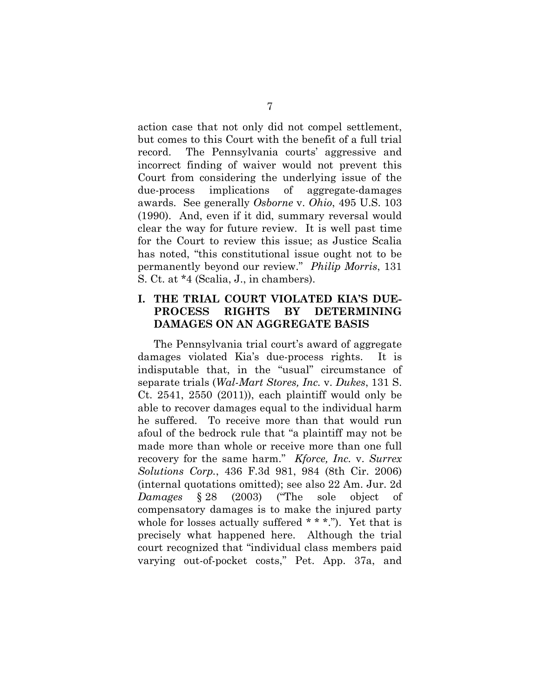action case that not only did not compel settlement, but comes to this Court with the benefit of a full trial record. The Pennsylvania courts' aggressive and incorrect finding of waiver would not prevent this Court from considering the underlying issue of the due-process implications of aggregate-damages awards. See generally *Osborne* v. *Ohio*, 495 U.S. 103 (1990). And, even if it did, summary reversal would clear the way for future review. It is well past time for the Court to review this issue; as Justice Scalia has noted, "this constitutional issue ought not to be permanently beyond our review." *Philip Morris*, 131 S. Ct. at \*4 (Scalia, J., in chambers).

## **I. THE TRIAL COURT VIOLATED KIA'S DUE-PROCESS RIGHTS BY DETERMINING DAMAGES ON AN AGGREGATE BASIS**

The Pennsylvania trial court's award of aggregate damages violated Kia's due-process rights. It is indisputable that, in the "usual" circumstance of separate trials (*Wal-Mart Stores, Inc.* v. *Dukes*, 131 S. Ct. 2541, 2550  $(2011)$ , each plaintiff would only be able to recover damages equal to the individual harm he suffered. To receive more than that would run afoul of the bedrock rule that "a plaintiff may not be made more than whole or receive more than one full recovery for the same harm." *Kforce, Inc.* v. *Surrex Solutions Corp.*, 436 F.3d 981, 984 (8th Cir. 2006) (internal quotations omitted); see also 22 Am. Jur. 2d *Damages* § 28 (2003) ("The sole object of compensatory damages is to make the injured party whole for losses actually suffered \* \* \*."). Yet that is precisely what happened here. Although the trial court recognized that "individual class members paid varying out-of-pocket costs," Pet. App. 37a, and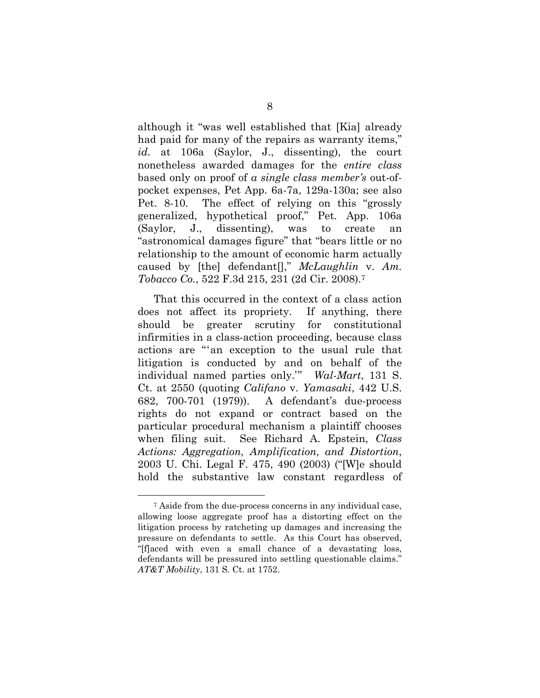although it "was well established that [Kia] already had paid for many of the repairs as warranty items," *id.* at 106a (Saylor, J., dissenting), the court nonetheless awarded damages for the *entire class* based only on proof of *a single class member's* out-ofpocket expenses, Pet App. 6a-7a, 129a-130a; see also Pet. 8-10. The effect of relying on this "grossly generalized, hypothetical proof," Pet. App. 106a (Saylor, J., dissenting), was to create an "astronomical damages figure" that "bears little or no relationship to the amount of economic harm actually caused by [the] defendant[]," *McLaughlin* v. *Am. Tobacco Co.*, 522 F.3d 215, 231 (2d Cir. 2008).<sup>7</sup>

That this occurred in the context of a class action does not affect its propriety. If anything, there should be greater scrutiny for constitutional infirmities in a class-action proceeding, because class actions are "'an exception to the usual rule that litigation is conducted by and on behalf of the individual named parties only.'" *Wal-Mart*, 131 S. Ct. at 2550 (quoting *Califano* v. *Yamasaki*, 442 U.S. 682, 700-701 (1979)). A defendant's due-process rights do not expand or contract based on the particular procedural mechanism a plaintiff chooses when filing suit. See Richard A. Epstein, *Class Actions: Aggregation, Amplification, and Distortion*, 2003 U. Chi. Legal F. 475, 490 (2003) ("[W]e should hold the substantive law constant regardless of

<sup>7</sup> Aside from the due-process concerns in any individual case, allowing loose aggregate proof has a distorting effect on the litigation process by ratcheting up damages and increasing the pressure on defendants to settle. As this Court has observed, "[f]aced with even a small chance of a devastating loss, defendants will be pressured into settling questionable claims." *AT&T Mobility*, 131 S. Ct. at 1752.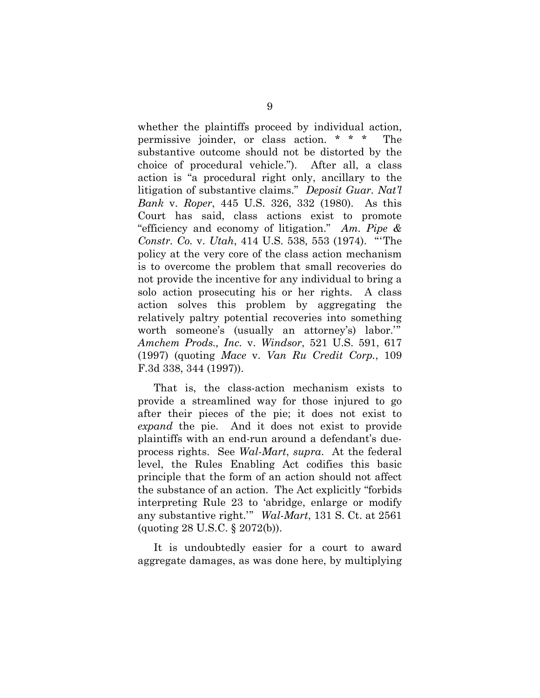whether the plaintiffs proceed by individual action, permissive joinder, or class action. \* \* \* The substantive outcome should not be distorted by the choice of procedural vehicle."). After all, a class action is "a procedural right only, ancillary to the litigation of substantive claims." *Deposit Guar. Nat'l Bank* v. *Roper*, 445 U.S. 326, 332 (1980). As this Court has said, class actions exist to promote "efficiency and economy of litigation." *Am. Pipe & Constr. Co.* v. *Utah*, 414 U.S. 538, 553 (1974). "'The policy at the very core of the class action mechanism is to overcome the problem that small recoveries do not provide the incentive for any individual to bring a solo action prosecuting his or her rights. A class action solves this problem by aggregating the relatively paltry potential recoveries into something worth someone's (usually an attorney's) labor.'" *Amchem Prods., Inc.* v. *Windsor*, 521 U.S. 591, 617 (1997) (quoting *Mace* v. *Van Ru Credit Corp.*, 109 F.3d 338, 344 (1997)).

That is, the class-action mechanism exists to provide a streamlined way for those injured to go after their pieces of the pie; it does not exist to *expand* the pie. And it does not exist to provide plaintiffs with an end-run around a defendant's dueprocess rights. See *Wal-Mart*, *supra*. At the federal level, the Rules Enabling Act codifies this basic principle that the form of an action should not affect the substance of an action. The Act explicitly "forbids interpreting Rule 23 to 'abridge, enlarge or modify any substantive right.'" *Wal-Mart*, 131 S. Ct. at 2561 (quoting 28 U.S.C. § 2072(b)).

It is undoubtedly easier for a court to award aggregate damages, as was done here, by multiplying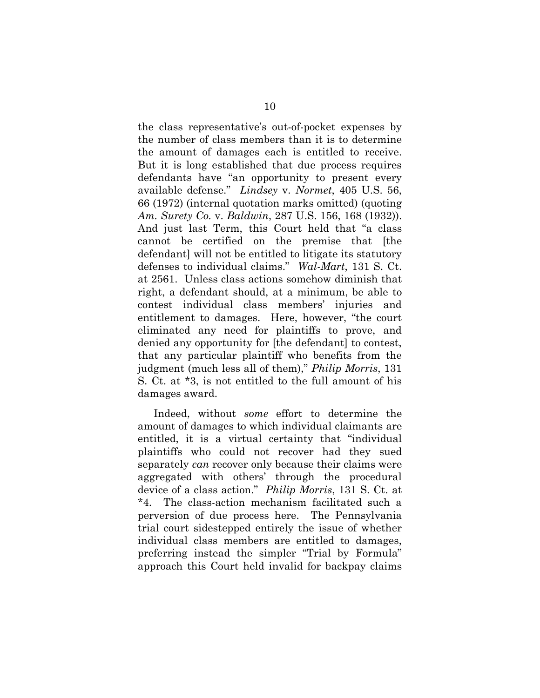the class representative's out-of-pocket expenses by the number of class members than it is to determine the amount of damages each is entitled to receive. But it is long established that due process requires defendants have "an opportunity to present every available defense." *Lindsey* v. *Normet*, 405 U.S. 56, 66 (1972) (internal quotation marks omitted) (quoting *Am. Surety Co.* v. *Baldwin*, 287 U.S. 156, 168 (1932)). And just last Term, this Court held that "a class cannot be certified on the premise that [the defendant] will not be entitled to litigate its statutory defenses to individual claims." *Wal-Mart*, 131 S. Ct. at 2561. Unless class actions somehow diminish that right, a defendant should, at a minimum, be able to contest individual class members' injuries and entitlement to damages. Here, however, "the court eliminated any need for plaintiffs to prove, and denied any opportunity for [the defendant] to contest, that any particular plaintiff who benefits from the judgment (much less all of them)," *Philip Morris*, 131 S. Ct. at \*3, is not entitled to the full amount of his damages award.

Indeed, without *some* effort to determine the amount of damages to which individual claimants are entitled, it is a virtual certainty that "individual plaintiffs who could not recover had they sued separately *can* recover only because their claims were aggregated with others' through the procedural device of a class action." *Philip Morris*, 131 S. Ct. at \*4. The class-action mechanism facilitated such a perversion of due process here. The Pennsylvania trial court sidestepped entirely the issue of whether individual class members are entitled to damages, preferring instead the simpler "Trial by Formula" approach this Court held invalid for backpay claims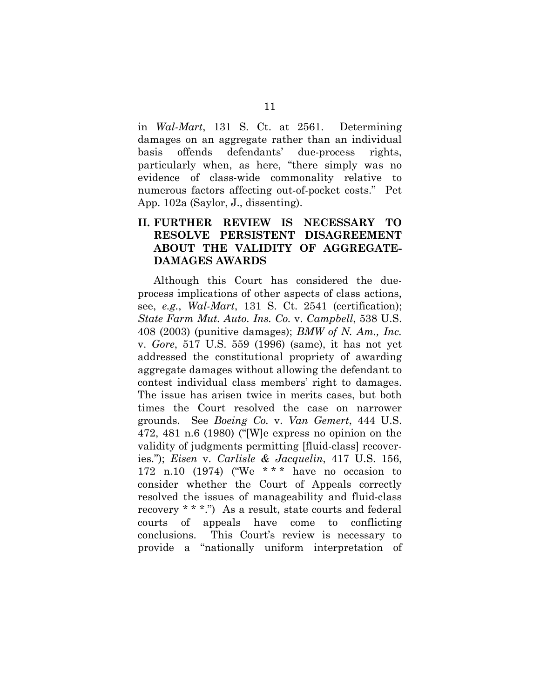in *Wal-Mart*, 131 S. Ct. at 2561. Determining damages on an aggregate rather than an individual basis offends defendants' due-process rights, particularly when, as here, "there simply was no evidence of class-wide commonality relative to numerous factors affecting out-of-pocket costs." Pet App. 102a (Saylor, J., dissenting).

## **II. FURTHER REVIEW IS NECESSARY TO RESOLVE PERSISTENT DISAGREEMENT ABOUT THE VALIDITY OF AGGREGATE-DAMAGES AWARDS**

Although this Court has considered the dueprocess implications of other aspects of class actions, see, *e.g.*, *Wal-Mart*, 131 S. Ct. 2541 (certification); *State Farm Mut. Auto. Ins. Co.* v. *Campbell*, 538 U.S. 408 (2003) (punitive damages); *BMW of N. Am., Inc.* v. *Gore*, 517 U.S. 559 (1996) (same), it has not yet addressed the constitutional propriety of awarding aggregate damages without allowing the defendant to contest individual class members' right to damages. The issue has arisen twice in merits cases, but both times the Court resolved the case on narrower grounds. See *Boeing Co.* v. *Van Gemert*, 444 U.S. 472, 481 n.6 (1980) ("[W]e express no opinion on the validity of judgments permitting [fluid-class] recoveries."); *Eisen* v. *Carlisle & Jacquelin*, 417 U.S. 156, 172 n.10 (1974) ("We \* \* \* have no occasion to consider whether the Court of Appeals correctly resolved the issues of manageability and fluid-class recovery \* \* \*.") As a result, state courts and federal courts of appeals have come to conflicting conclusions. This Court's review is necessary to provide a "nationally uniform interpretation of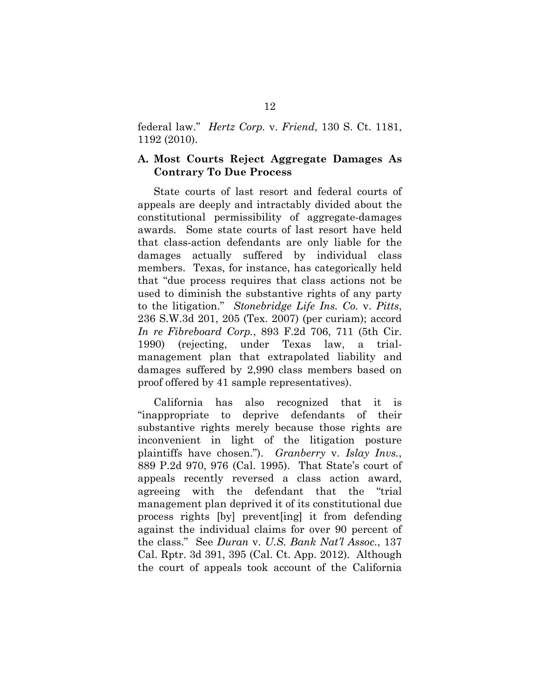federal law." *Hertz Corp.* v. *Friend*, 130 S. Ct. 1181, 1192 (2010).

### **A. Most Courts Reject Aggregate Damages As Contrary To Due Process**

State courts of last resort and federal courts of appeals are deeply and intractably divided about the constitutional permissibility of aggregate-damages awards. Some state courts of last resort have held that class-action defendants are only liable for the damages actually suffered by individual class members. Texas, for instance, has categorically held that "due process requires that class actions not be used to diminish the substantive rights of any party to the litigation." *Stonebridge Life Ins. Co.* v. *Pitts*, 236 S.W.3d 201, 205 (Tex. 2007) (per curiam); accord *In re Fibreboard Corp.*, 893 F.2d 706, 711 (5th Cir. 1990) (rejecting, under Texas law, a trialmanagement plan that extrapolated liability and damages suffered by 2,990 class members based on proof offered by 41 sample representatives).

California has also recognized that it is "inappropriate to deprive defendants of their substantive rights merely because those rights are inconvenient in light of the litigation posture plaintiffs have chosen."). *Granberry* v. *Islay Invs.*, 889 P.2d 970, 976 (Cal. 1995). That State's court of appeals recently reversed a class action award, agreeing with the defendant that the "trial management plan deprived it of its constitutional due process rights [by] prevent[ing] it from defending against the individual claims for over 90 percent of the class." See *Duran* v. *U.S. Bank Nat'l Assoc.*, 137 Cal. Rptr. 3d 391, 395 (Cal. Ct. App. 2012). Although the court of appeals took account of the California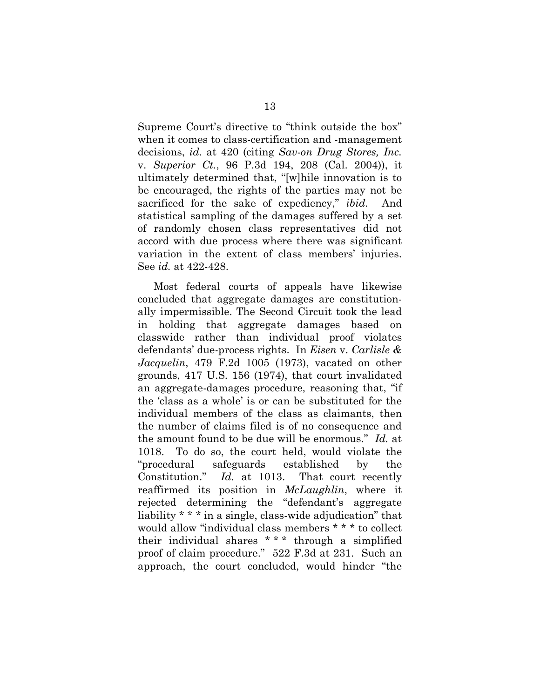Supreme Court's directive to "think outside the box" when it comes to class-certification and -management decisions, *id.* at 420 (citing *Sav-on Drug Stores, Inc.* v. *Superior Ct.*, 96 P.3d 194, 208 (Cal. 2004)), it ultimately determined that, "[w]hile innovation is to be encouraged, the rights of the parties may not be sacrificed for the sake of expediency," *ibid.* And statistical sampling of the damages suffered by a set of randomly chosen class representatives did not accord with due process where there was significant variation in the extent of class members' injuries. See *id.* at 422-428.

Most federal courts of appeals have likewise concluded that aggregate damages are constitutionally impermissible. The Second Circuit took the lead in holding that aggregate damages based on classwide rather than individual proof violates defendants' due-process rights. In *Eisen* v. *Carlisle & Jacquelin*, 479 F.2d 1005 (1973), vacated on other grounds, 417 U.S. 156 (1974), that court invalidated an aggregate-damages procedure, reasoning that, "if the 'class as a whole' is or can be substituted for the individual members of the class as claimants, then the number of claims filed is of no consequence and the amount found to be due will be enormous." *Id.* at 1018. To do so, the court held, would violate the "procedural safeguards established by the Constitution." *Id.* at 1013. That court recently reaffirmed its position in *McLaughlin*, where it rejected determining the "defendant's aggregate liability \* \* \* in a single, class-wide adjudication" that would allow "individual class members \* \* \* to collect their individual shares  $***$  through a simplified proof of claim procedure." 522 F.3d at 231. Such an approach, the court concluded, would hinder "the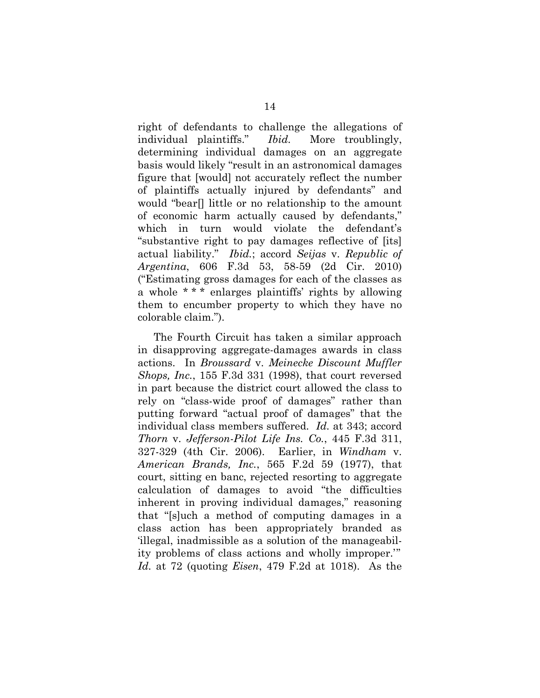right of defendants to challenge the allegations of individual plaintiffs." *Ibid.* More troublingly, determining individual damages on an aggregate basis would likely "result in an astronomical damages figure that [would] not accurately reflect the number of plaintiffs actually injured by defendants" and would "bear[] little or no relationship to the amount of economic harm actually caused by defendants," which in turn would violate the defendant's "substantive right to pay damages reflective of [its] actual liability." *Ibid.*; accord *Seijas* v. *Republic of Argentina*, 606 F.3d 53, 58-59 (2d Cir. 2010) ("Estimating gross damages for each of the classes as a whole \* \* \* enlarges plaintiffs' rights by allowing them to encumber property to which they have no colorable claim.").

The Fourth Circuit has taken a similar approach in disapproving aggregate-damages awards in class actions. In *Broussard* v. *Meinecke Discount Muffler Shops, Inc.*, 155 F.3d 331 (1998), that court reversed in part because the district court allowed the class to rely on "class-wide proof of damages" rather than putting forward "actual proof of damages" that the individual class members suffered. *Id.* at 343; accord *Thorn* v. *Jefferson-Pilot Life Ins. Co.*, 445 F.3d 311, 327-329 (4th Cir. 2006). Earlier, in *Windham* v. *American Brands, Inc.*, 565 F.2d 59 (1977), that court, sitting en banc, rejected resorting to aggregate calculation of damages to avoid "the difficulties inherent in proving individual damages," reasoning that "[s]uch a method of computing damages in a class action has been appropriately branded as 'illegal, inadmissible as a solution of the manageability problems of class actions and wholly improper.'" *Id.* at 72 (quoting *Eisen*, 479 F.2d at 1018). As the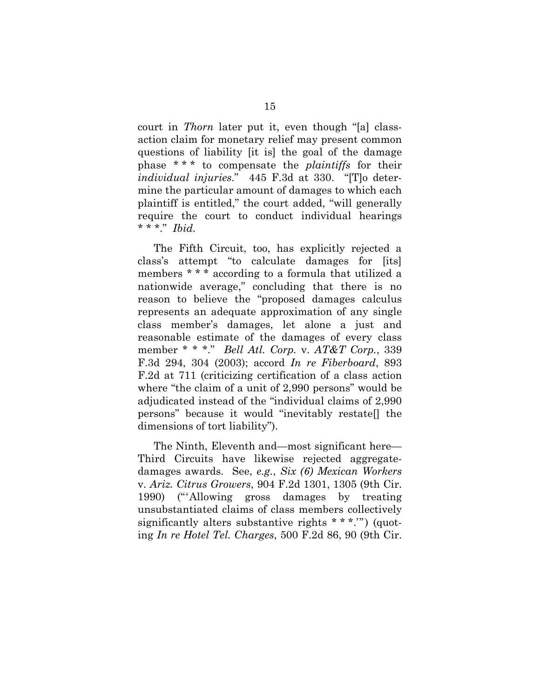court in *Thorn* later put it, even though "[a] classaction claim for monetary relief may present common questions of liability [it is] the goal of the damage phase \* \* \* to compensate the *plaintiffs* for their *individual injuries*." 445 F.3d at 330. "[T]o determine the particular amount of damages to which each plaintiff is entitled," the court added, "will generally require the court to conduct individual hearings \* \* \*." *Ibid.*

The Fifth Circuit, too, has explicitly rejected a class's attempt "to calculate damages for [its] members \* \* \* according to a formula that utilized a nationwide average," concluding that there is no reason to believe the "proposed damages calculus represents an adequate approximation of any single class member's damages, let alone a just and reasonable estimate of the damages of every class member \* \* \*." *Bell Atl. Corp.* v. *AT&T Corp.*, 339 F.3d 294, 304 (2003); accord *In re Fiberboard*, 893 F.2d at 711 (criticizing certification of a class action where "the claim of a unit of 2,990 persons" would be adjudicated instead of the "individual claims of 2,990 persons" because it would "inevitably restate[] the dimensions of tort liability").

The Ninth, Eleventh and—most significant here— Third Circuits have likewise rejected aggregatedamages awards. See, *e.g.*, *Six (6) Mexican Workers* v. *Ariz. Citrus Growers*, 904 F.2d 1301, 1305 (9th Cir. 1990) ("'Allowing gross damages by treating unsubstantiated claims of class members collectively significantly alters substantive rights \* \* \*.'") (quoting *In re Hotel Tel. Charges*, 500 F.2d 86, 90 (9th Cir.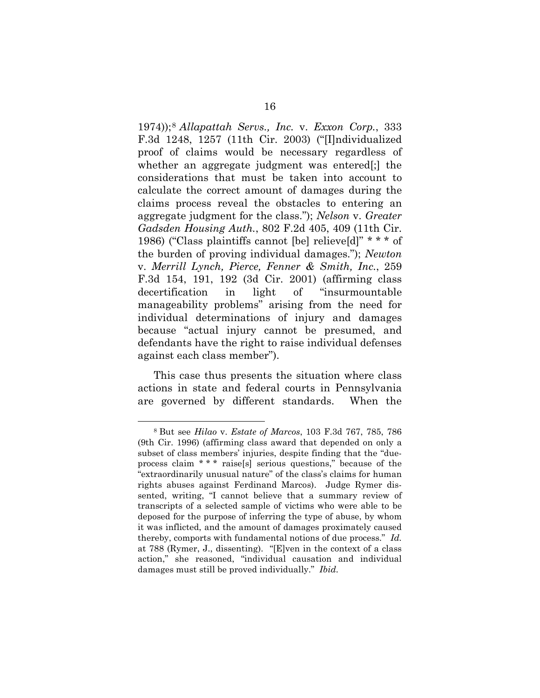1974));<sup>8</sup> *Allapattah Servs., Inc.* v. *Exxon Corp.*, 333 F.3d 1248, 1257 (11th Cir. 2003) ("[I]ndividualized proof of claims would be necessary regardless of whether an aggregate judgment was entered[;] the considerations that must be taken into account to calculate the correct amount of damages during the claims process reveal the obstacles to entering an aggregate judgment for the class."); *Nelson* v. *Greater Gadsden Housing Auth.*, 802 F.2d 405, 409 (11th Cir. 1986) ("Class plaintiffs cannot [be] relieve[d]" \* \* \* of the burden of proving individual damages."); *Newton* v. *Merrill Lynch, Pierce, Fenner & Smith, Inc.*, 259 F.3d 154, 191, 192 (3d Cir. 2001) (affirming class decertification in light of "insurmountable manageability problems" arising from the need for individual determinations of injury and damages because "actual injury cannot be presumed, and defendants have the right to raise individual defenses against each class member").

This case thus presents the situation where class actions in state and federal courts in Pennsylvania are governed by different standards. When the

<sup>8</sup> But see *Hilao* v. *Estate of Marcos*, 103 F.3d 767, 785, 786 (9th Cir. 1996) (affirming class award that depended on only a subset of class members' injuries, despite finding that the "dueprocess claim \* \* \* raise[s] serious questions," because of the "extraordinarily unusual nature" of the class's claims for human rights abuses against Ferdinand Marcos). Judge Rymer dissented, writing, "I cannot believe that a summary review of transcripts of a selected sample of victims who were able to be deposed for the purpose of inferring the type of abuse, by whom it was inflicted, and the amount of damages proximately caused thereby, comports with fundamental notions of due process." *Id.* at 788 (Rymer, J., dissenting). "[E]ven in the context of a class action," she reasoned, "individual causation and individual damages must still be proved individually." *Ibid.*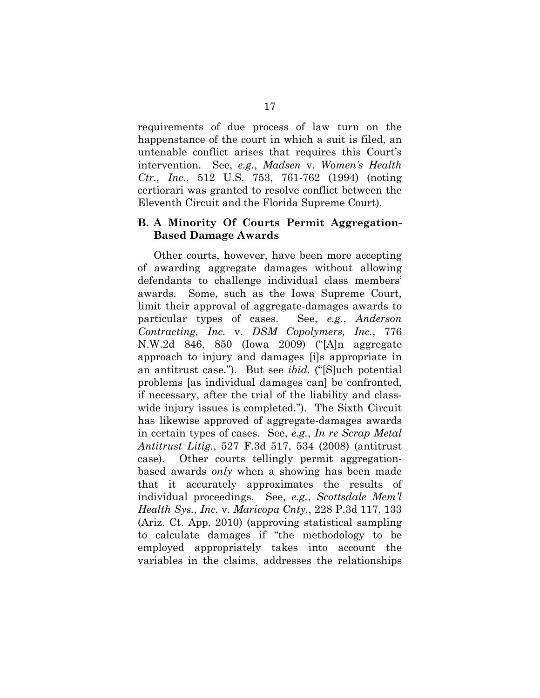requirements of due process of law turn on the happenstance of the court in which a suit is filed, an untenable conflict arises that requires this Court's intervention. See, *e.g.*, *Madsen* v. *Women's Health Ctr., Inc.*, 512 U.S. 753, 761-762 (1994) (noting certiorari was granted to resolve conflict between the Eleventh Circuit and the Florida Supreme Court).

## **B. A Minority Of Courts Permit Aggregation-Based Damage Awards**

Other courts, however, have been more accepting of awarding aggregate damages without allowing defendants to challenge individual class members' awards. Some, such as the Iowa Supreme Court, limit their approval of aggregate-damages awards to particular types of cases. See, *e.g.*, *Anderson Contracting, Inc.* v. *DSM Copolymers, Inc.*, 776 N.W.2d 846, 850 (Iowa 2009) ("[A]n aggregate approach to injury and damages [i]s appropriate in an antitrust case."). But see *ibid.* ("[S]uch potential problems [as individual damages can] be confronted, if necessary, after the trial of the liability and classwide injury issues is completed."). The Sixth Circuit has likewise approved of aggregate-damages awards in certain types of cases. See, *e.g.*, *In re Scrap Metal Antitrust Litig.*, 527 F.3d 517, 534 (2008) (antitrust case). Other courts tellingly permit aggregationbased awards *only* when a showing has been made that it accurately approximates the results of individual proceedings. See, *e.g.*, *Scottsdale Mem'l Health Sys., Inc.* v. *Maricopa Cnty.*, 228 P.3d 117, 133 (Ariz. Ct. App. 2010) (approving statistical sampling to calculate damages if "the methodology to be employed appropriately takes into account the variables in the claims, addresses the relationships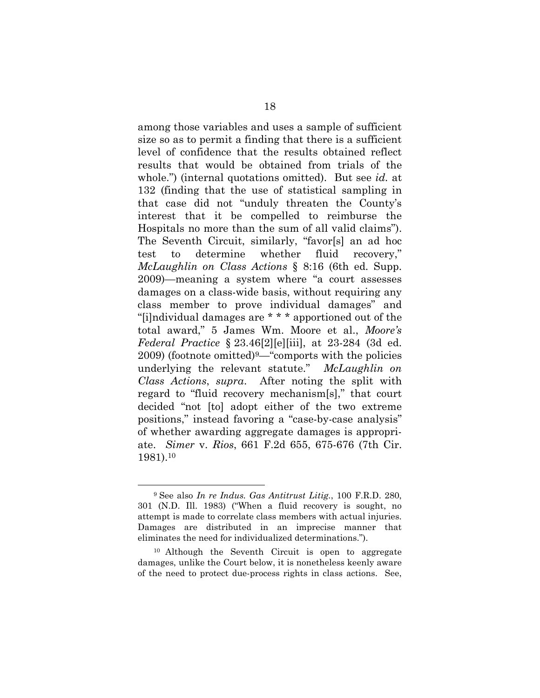among those variables and uses a sample of sufficient size so as to permit a finding that there is a sufficient level of confidence that the results obtained reflect results that would be obtained from trials of the whole.") (internal quotations omitted). But see *id.* at 132 (finding that the use of statistical sampling in that case did not "unduly threaten the County's interest that it be compelled to reimburse the Hospitals no more than the sum of all valid claims"). The Seventh Circuit, similarly, "favor[s] an ad hoc test to determine whether fluid recovery," *McLaughlin on Class Actions* § 8:16 (6th ed. Supp. 2009)—meaning a system where "a court assesses damages on a class-wide basis, without requiring any class member to prove individual damages" and "[i]ndividual damages are \* \* \* apportioned out of the total award," 5 James Wm. Moore et al., *Moore's Federal Practice* § 23.46[2][e][iii], at 23-284 (3d ed.  $2009$ ) (footnote omitted)<sup>9</sup>—"comports with the policies underlying the relevant statute." *McLaughlin on Class Actions*, *supra*. After noting the split with regard to "fluid recovery mechanism[s]," that court decided "not [to] adopt either of the two extreme positions," instead favoring a "case-by-case analysis" of whether awarding aggregate damages is appropriate. *Simer* v. *Rios*, 661 F.2d 655, 675-676 (7th Cir. 1981).<sup>10</sup>

<sup>9</sup> See also *In re Indus. Gas Antitrust Litig.*, 100 F.R.D. 280, 301 (N.D. Ill. 1983) ("When a fluid recovery is sought, no attempt is made to correlate class members with actual injuries. Damages are distributed in an imprecise manner that eliminates the need for individualized determinations.").

<sup>10</sup> Although the Seventh Circuit is open to aggregate damages, unlike the Court below, it is nonetheless keenly aware of the need to protect due-process rights in class actions. See,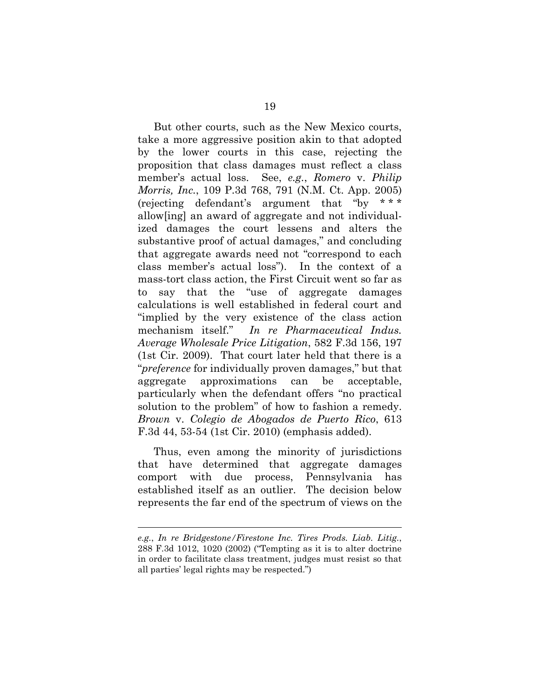But other courts, such as the New Mexico courts, take a more aggressive position akin to that adopted by the lower courts in this case, rejecting the proposition that class damages must reflect a class member's actual loss. See, *e.g.*, *Romero* v. *Philip Morris, Inc.*, 109 P.3d 768, 791 (N.M. Ct. App. 2005) (rejecting defendant's argument that "by \* \* \* allow[ing] an award of aggregate and not individualized damages the court lessens and alters the substantive proof of actual damages," and concluding that aggregate awards need not "correspond to each class member's actual loss"). In the context of a mass-tort class action, the First Circuit went so far as to say that the "use of aggregate damages calculations is well established in federal court and "implied by the very existence of the class action mechanism itself." *In re Pharmaceutical Indus. Average Wholesale Price Litigation*, 582 F.3d 156, 197 (1st Cir. 2009). That court later held that there is a "*preference* for individually proven damages," but that aggregate approximations can be acceptable, particularly when the defendant offers "no practical solution to the problem" of how to fashion a remedy. *Brown* v. *Colegio de Abogados de Puerto Rico*, 613 F.3d 44, 53-54 (1st Cir. 2010) (emphasis added).

Thus, even among the minority of jurisdictions that have determined that aggregate damages comport with due process, Pennsylvania has established itself as an outlier. The decision below represents the far end of the spectrum of views on the

*e.g.*, *In re Bridgestone/Firestone Inc. Tires Prods. Liab. Litig.*, 288 F.3d 1012, 1020 (2002) ("Tempting as it is to alter doctrine in order to facilitate class treatment, judges must resist so that all parties' legal rights may be respected.")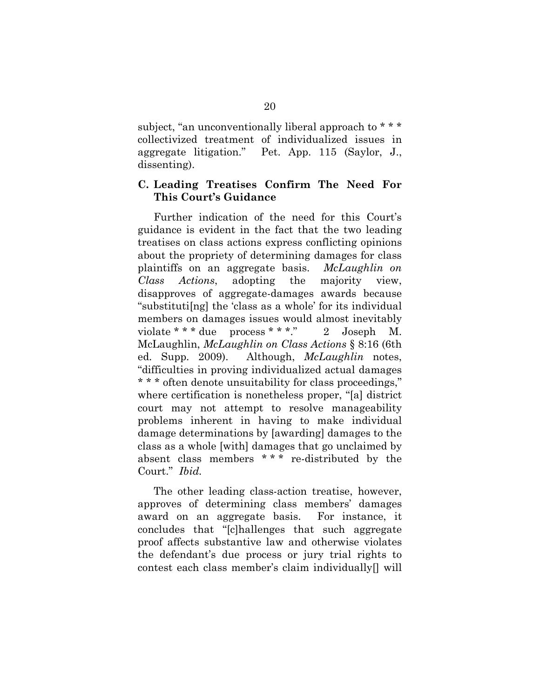subject, "an unconventionally liberal approach to  $***$ collectivized treatment of individualized issues in aggregate litigation." Pet. App. 115 (Saylor, J., dissenting).

#### **C. Leading Treatises Confirm The Need For This Court's Guidance**

Further indication of the need for this Court's guidance is evident in the fact that the two leading treatises on class actions express conflicting opinions about the propriety of determining damages for class plaintiffs on an aggregate basis. *McLaughlin on Class Actions*, adopting the majority view, disapproves of aggregate-damages awards because "substituti[ng] the 'class as a whole' for its individual members on damages issues would almost inevitably violate \* \* \* due process \* \* \*." 2 Joseph M. McLaughlin, *McLaughlin on Class Actions* § 8:16 (6th ed. Supp. 2009). Although, *McLaughlin* notes, "difficulties in proving individualized actual damages \* \* \* often denote unsuitability for class proceedings," where certification is nonetheless proper, "[a] district court may not attempt to resolve manageability problems inherent in having to make individual damage determinations by [awarding] damages to the class as a whole [with] damages that go unclaimed by absent class members \* \* \* re-distributed by the Court." *Ibid.*

The other leading class-action treatise, however, approves of determining class members' damages award on an aggregate basis. For instance, it concludes that "[c]hallenges that such aggregate proof affects substantive law and otherwise violates the defendant's due process or jury trial rights to contest each class member's claim individually[] will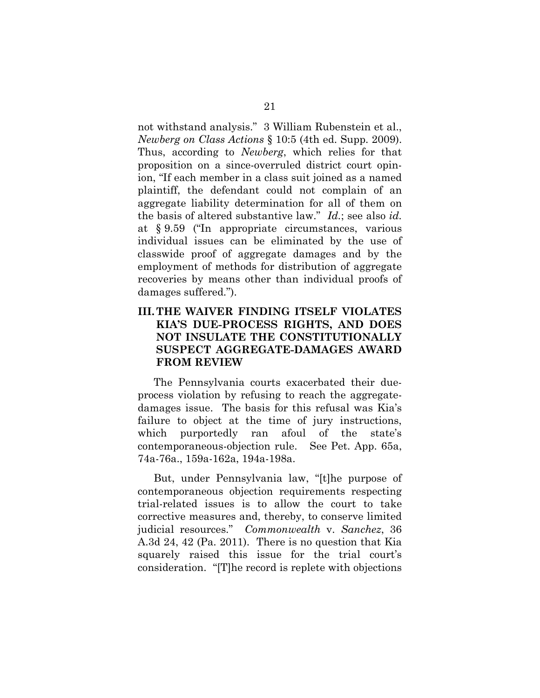not withstand analysis." 3 William Rubenstein et al., *Newberg on Class Actions* § 10:5 (4th ed. Supp. 2009). Thus, according to *Newberg*, which relies for that proposition on a since-overruled district court opinion, "If each member in a class suit joined as a named plaintiff, the defendant could not complain of an aggregate liability determination for all of them on the basis of altered substantive law." *Id.*; see also *id.* at § 9.59 ("In appropriate circumstances, various individual issues can be eliminated by the use of classwide proof of aggregate damages and by the employment of methods for distribution of aggregate recoveries by means other than individual proofs of damages suffered.").

## **III.THE WAIVER FINDING ITSELF VIOLATES KIA'S DUE-PROCESS RIGHTS, AND DOES NOT INSULATE THE CONSTITUTIONALLY SUSPECT AGGREGATE-DAMAGES AWARD FROM REVIEW**

The Pennsylvania courts exacerbated their dueprocess violation by refusing to reach the aggregatedamages issue. The basis for this refusal was Kia's failure to object at the time of jury instructions, which purportedly ran afoul of the state's contemporaneous-objection rule. See Pet. App. 65a, 74a-76a., 159a-162a, 194a-198a.

But, under Pennsylvania law, "[t]he purpose of contemporaneous objection requirements respecting trial-related issues is to allow the court to take corrective measures and, thereby, to conserve limited judicial resources." *Commonwealth* v. *Sanchez*, 36 A.3d 24, 42 (Pa. 2011). There is no question that Kia squarely raised this issue for the trial court's consideration. "[T]he record is replete with objections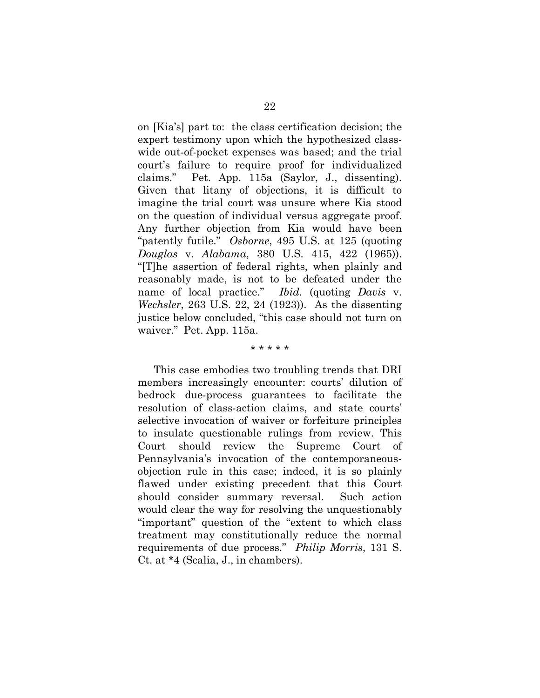on [Kia's] part to: the class certification decision; the expert testimony upon which the hypothesized classwide out-of-pocket expenses was based; and the trial court's failure to require proof for individualized claims." Pet. App. 115a (Saylor, J., dissenting). Given that litany of objections, it is difficult to imagine the trial court was unsure where Kia stood on the question of individual versus aggregate proof. Any further objection from Kia would have been "patently futile." *Osborne*, 495 U.S. at 125 (quoting *Douglas* v. *Alabama*, 380 U.S. 415, 422 (1965)). "[T]he assertion of federal rights, when plainly and reasonably made, is not to be defeated under the name of local practice." *Ibid.* (quoting *Davis* v. *Wechsler*, 263 U.S. 22, 24 (1923)). As the dissenting justice below concluded, "this case should not turn on waiver." Pet. App. 115a.

\* \* \* \* \*

This case embodies two troubling trends that DRI members increasingly encounter: courts' dilution of bedrock due-process guarantees to facilitate the resolution of class-action claims, and state courts' selective invocation of waiver or forfeiture principles to insulate questionable rulings from review. This Court should review the Supreme Court of Pennsylvania's invocation of the contemporaneousobjection rule in this case; indeed, it is so plainly flawed under existing precedent that this Court should consider summary reversal. Such action would clear the way for resolving the unquestionably "important" question of the "extent to which class treatment may constitutionally reduce the normal requirements of due process." *Philip Morris*, 131 S. Ct. at \*4 (Scalia, J., in chambers).